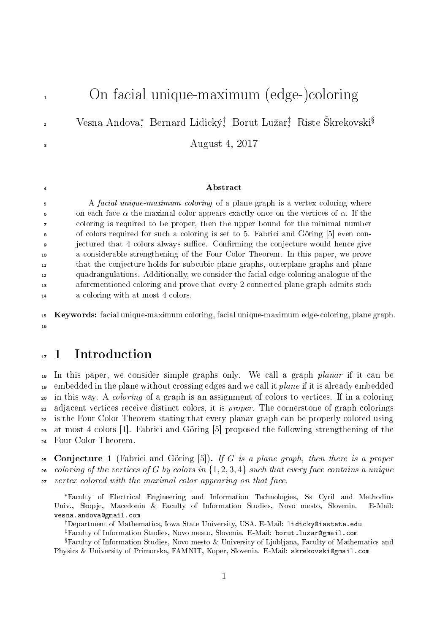1 On facial unique-maximum (edge-)coloring Vesna Andova\*, Bernard Lidický† Borut Lužar‡ Riste Škrekovski<sup>§</sup> 2 August 4, 2017 **Abstract**  A facial unique-maximum coloring of a plane graph is a vertex coloring where 6 on each face  $\alpha$  the maximal color appears exactly once on the vertices of  $\alpha$ . If the coloring is required to be proper, then the upper bound for the minimal number of colors required for such a coloring is set to 5. Fabrici and Göring [5] even con- jectured that 4 colors always suce. Conrming the conjecture would hence give a considerable strengthening of the Four Color Theorem. In this paper, we prove that the conjecture holds for subcubic plane graphs, outerplane graphs and plane quadrangulations. Additionally, we consider the facial edge-coloring analogue of the aforementioned coloring and prove that every 2-connected plane graph admits such a coloring with at most 4 colors.

<sup>15</sup> Keywords: facial unique-maximum coloring, facial unique-maximum edge-coloring, plane graph. 16

# <sup>17</sup> 1 Introduction

 In this paper, we consider simple graphs only. We call a graph planar if it can be <sup>19</sup> embedded in the plane without crossing edges and we call it *plane* if it is already embedded in this way. A coloring of a graph is an assignment of colors to vertices. If in a coloring 21 adjacent vertices receive distinct colors, it is *proper*. The cornerstone of graph colorings is the Four Color Theorem stating that every planar graph can be properly colored using at most 4 colors [1]. Fabrici and Göring [5] proposed the following strengthening of the Four Color Theorem.

25 Conjecture 1 (Fabrici and Göring [5]). If G is a plane graph, then there is a proper 26 coloring of the vertices of G by colors in  $\{1, 2, 3, 4\}$  such that every face contains a unique <sup>27</sup> vertex colored with the maximal color appearing on that face.

†Department of Mathematics, Iowa State University, USA. E-Mail: lidicky@iastate.edu ‡Faculty of Information Studies, Novo mesto, Slovenia. E-Mail: borut.luzar@gmail.com

 $\frac{1}{3}$  Faculty of Information Studies, Novo mesto & University of Ljubljana, Faculty of Mathematics and Physics & University of Primorska, FAMNIT, Koper, Slovenia. E-Mail: skrekovski@gmail.com

<sup>∗</sup>Faculty of Electrical Engineering and Information Technologies, Ss Cyril and Methodius Univ., Skopje, Macedonia & Faculty of Information Studies, Novo mesto, Slovenia. E-Mail: vesna.andova@gmail.com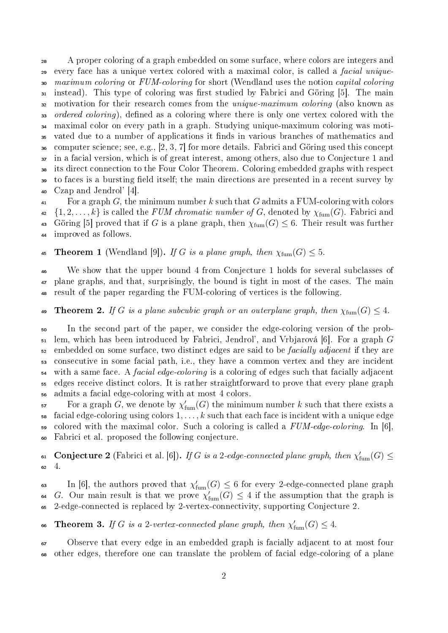<sup>28</sup> A proper coloring of a graph embedded on some surface, where colors are integers and every face has a unique vertex colored with a maximal color, is called a facial unique-<sup>30</sup> maximum coloring or FUM-coloring for short (Wendland uses the notion capital coloring 31 instead). This type of coloring was first studied by Fabrici and Göring [5]. The main <sup>32</sup> motivation for their research comes from the *unique-maximum coloring* (also known as 33 ordered coloring), defined as a coloring where there is only one vertex colored with the maximal color on every path in a graph. Studying unique-maximum coloring was moti- vated due to a number of applications it nds in various branches of mathematics and computer science; see, e.g., [2, 3, 7] for more details. Fabrici and Göring used this concept in a facial version, which is of great interest, among others, also due to Conjecture 1 and its direct connection to the Four Color Theorem. Coloring embedded graphs with respect to faces is a bursting eld itself; the main directions are presented in a recent survey by Czap and Jendrol' [4].

 $41$  For a graph G, the minimum number k such that G admits a FUM-coloring with colors  $\{1, 2, \ldots, k\}$  is called the FUM chromatic number of G, denoted by  $\chi_{\text{fum}}(G)$ . Fabrici and 43 Göring [5] proved that if G is a plane graph, then  $\chi_{fum}(G) \leq 6$ . Their result was further <sup>44</sup> improved as follows.

45 **Theorem 1** (Wendland [9]). If G is a plane graph, then  $\chi_{\text{fum}}(G) \leq 5$ .

<sup>46</sup> We show that the upper bound 4 from Conjecture 1 holds for several subclasses of <sup>47</sup> plane graphs, and that, surprisingly, the bound is tight in most of the cases. The main <sup>48</sup> result of the paper regarding the FUM-coloring of vertices is the following.

49 Theorem 2. If G is a plane subcubic graph or an outerplane graph, then  $\chi_{\text{fum}}(G) \leq 4$ .

<sup>50</sup> In the second part of the paper, we consider the edge-coloring version of the prob- $_{51}$  lem, which has been introduced by Fabrici, Jendrol', and Vrbjarová [6]. For a graph G <sup>52</sup> embedded on some surface, two distinct edges are said to be *facially adjacent* if they are <sup>53</sup> consecutive in some facial path, i.e., they have a common vertex and they are incident  $_{54}$  with a same face. A *facial edge-coloring* is a coloring of edges such that facially adjacent <sup>55</sup> edges receive distinct colors. It is rather straightforward to prove that every plane graph <sup>56</sup> admits a facial edge-coloring with at most 4 colors.

For a graph G, we denote by  $\chi_{\text{fum}}'(G)$  the minimum number k such that there exists a  $\frac{1}{58}$  facial edge-coloring using colors  $1, \ldots, k$  such that each face is incident with a unique edge <sup>59</sup> colored with the maximal color. Such a coloring is called a FUM-edge-coloring. In [6], <sup>60</sup> Fabrici et al. proposed the following conjecture.

61 Conjecture 2 (Fabrici et al. [6]). If G is a 2-edge-connected plane graph, then  $\chi_{\text{fum}}'(G) \leq$  $62 \quad 4$ .

63 In [6], the authors proved that  $\chi_{\mathrm{fum}}'(G) \leq 6$  for every 2-edge-connected plane graph 64 G. Our main result is that we prove  $\chi'_{\text{fum}}(G) \leq 4$  if the assumption that the graph is <sup>65</sup> 2-edge-connected is replaced by 2-vertex-connectivity, supporting Conjecture 2.

66 **Theorem 3.** If G is a 2-vertex-connected plane graph, then  $\chi'_{\text{fum}}(G) \leq 4$ .

<sup>67</sup> Observe that every edge in an embedded graph is facially adjacent to at most four <sup>68</sup> other edges, therefore one can translate the problem of facial edge-coloring of a plane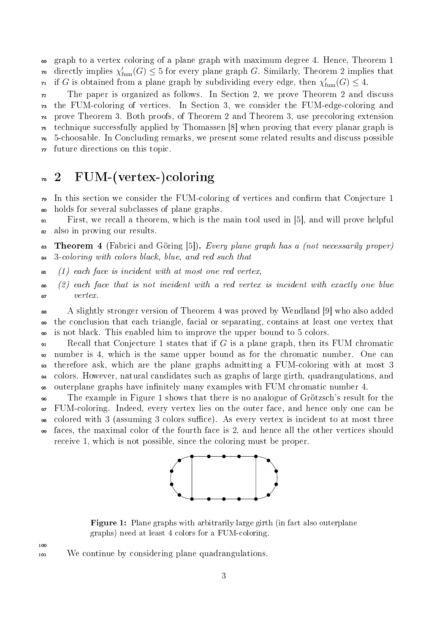graph to a vertex coloring of a plane graph with maximum degree 4. Hence, Theorem 1 <sup>70</sup> directly implies  $\chi'_{\mathrm{fum}}(G) \leq 5$  for every plane graph G. Similarly, Theorem 2 implies that  $\tau_1$  if G is obtained from a plane graph by subdividing every edge, then  $\chi'_{\text{fum}}(G) \leq 4$ .

 The paper is organized as follows. In Section 2, we prove Theorem 2 and discuss the FUM-coloring of vertices. In Section 3, we consider the FUM-edge-coloring and prove Theorem 3. Both proofs, of Theorem 2 and Theorem 3, use precoloring extension technique successfully applied by Thomassen [8] when proving that every planar graph is 5-choosable. In Concluding remarks, we present some related results and discuss possible future directions on this topic.

# $\frac{1}{2}$  FUM-(vertex-)coloring

<sup>79</sup> In this section we consider the FUM-coloring of vertices and confirm that Conjecture 1 holds for several subclasses of plane graphs.

 First, we recall a theorem, which is the main tool used in [5], and will prove helpful also in proving our results.

83 Theorem 4 (Fabrici and Göring [5]). Every plane graph has a (not necessarily proper) 3-coloring with colors black, blue, and red such that

 $\mathfrak{so}$  (1) each face is incident with at most one red vertex,

 $\mathfrak{so}$  (2) each face that is not incident with a red vertex is incident with exactly one blue vertex.

 A slightly stronger version of Theorem 4 was proved by Wendland [9] who also added the conclusion that each triangle, facial or separating, contains at least one vertex that is not black. This enabled him to improve the upper bound to 5 colors.

 $\mathfrak{g}_1$  Recall that Conjecture 1 states that if G is a plane graph, then its FUM chromatic number is 4, which is the same upper bound as for the chromatic number. One can therefore ask, which are the plane graphs admitting a FUM-coloring with at most 3 colors. However, natural candidates such as graphs of large girth, quadrangulations, and outerplane graphs have innitely many examples with FUM chromatic number 4.

 The example in Figure 1 shows that there is no analogue of Grötzsch's result for the FUM-coloring. Indeed, every vertex lies on the outer face, and hence only one can be <sup>98</sup> colored with 3 (assuming 3 colors suffice). As every vertex is incident to at most three faces, the maximal color of the fourth face is 2, and hence all the other vertices should receive 1, which is not possible, since the coloring must be proper.



**Figure 1:** Plane graphs with arbitrarily large girth (in fact also outerplane graphs) need at least 4 colors for a FUM-coloring.

We continue by considering plane quadrangulations.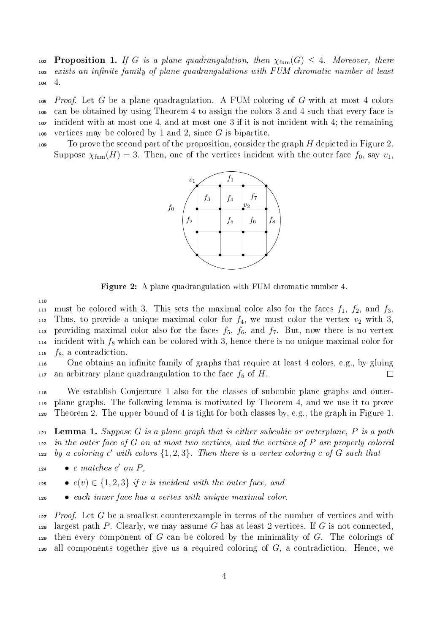102 **Proposition 1.** If G is a plane quadrangulation, then  $\chi_{\text{fum}}(G) \leq 4$ . Moreover, there <sup>103</sup> exists an infinite family of plane quadrangulations with FUM chromatic number at least <sup>104</sup> 4.

 Proof. Let G be a plane quadragulation. A FUM-coloring of G with at most 4 colors can be obtained by using Theorem 4 to assign the colors 3 and 4 such that every face is incident with at most one 4, and at most one 3 if it is not incident with 4; the remaining 108 vertices may be colored by 1 and 2, since  $G$  is bipartite.

109 To prove the second part of the proposition, consider the graph  $H$  depicted in Figure 2. Suppose  $\chi_{\text{fum}}(H) = 3$ . Then, one of the vertices incident with the outer face  $f_0$ , say  $v_1$ ,



Figure 2: A plane quadrangulation with FUM chromatic number 4.

110

111 must be colored with 3. This sets the maximal color also for the faces  $f_1$ ,  $f_2$ , and  $f_3$ . 112 Thus, to provide a unique maximal color for  $f_4$ , we must color the vertex  $v_2$  with 3, 113 providing maximal color also for the faces  $f_5$ ,  $f_6$ , and  $f_7$ . But, now there is no vertex 114 incident with  $f_8$  which can be colored with 3, hence there is no unique maximal color for  $115 \text{ f}_8$ , a contradiction.

<sup>116</sup> One obtains an innite family of graphs that require at least 4 colors, e.g., by gluing 117 an arbitrary plane quadrangulation to the face  $f_5$  of H.  $\Box$ 

<sup>118</sup> We establish Conjecture 1 also for the classes of subcubic plane graphs and outer-<sup>119</sup> plane graphs. The following lemma is motivated by Theorem 4, and we use it to prove 120 Theorem 2. The upper bound of 4 is tight for both classes by, e.g., the graph in Figure 1.

121 **Lemma 1.** Suppose G is a plane graph that is either subcubic or outerplane, P is a path  $122$  in the outer face of G on at most two vertices, and the vertices of P are properly colored 123 by a coloring  $c'$  with colors  $\{1, 2, 3\}$ . Then there is a vertex coloring c of G such that

 $124$  o c matches c' on P,

125 •  $c(v) \in \{1, 2, 3\}$  if v is incident with the outer face, and

<sup>126</sup> • each inner face has a vertex with unique maximal color.

 $127$  Proof. Let G be a smallest counterexample in terms of the number of vertices and with 128 largest path P. Clearly, we may assume G has at least 2 vertices. If G is not connected,  $129$  then every component of G can be colored by the minimality of G. The colorings of 130 all components together give us a required coloring of  $G$ , a contradiction. Hence, we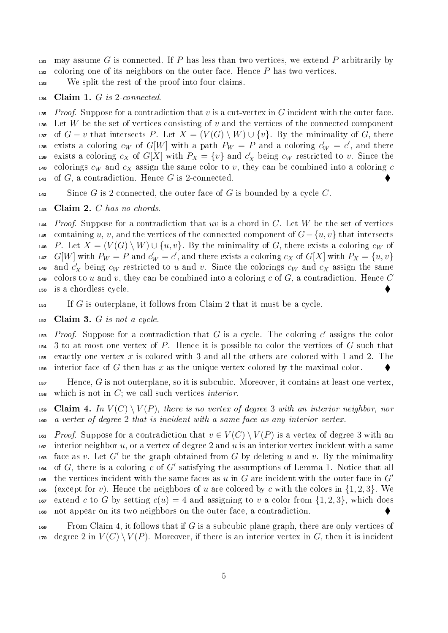131 may assume G is connected. If P has less than two vertices, we extend P arbitrarily by  $132$  coloring one of its neighbors on the outer face. Hence P has two vertices.

<sup>133</sup> We split the rest of the proof into four claims.

 $134$  Claim 1. G is 2-connected.

135 Proof. Suppose for a contradiction that v is a cut-vertex in G incident with the outer face. 136 Let W be the set of vertices consisting of v and the vertices of the connected component 137 of  $G - v$  that intersects P. Let  $X = (V(G) \setminus W) \cup \{v\}$ . By the minimality of G, there <sup>138</sup> exists a coloring  $c_W$  of  $G[W]$  with a path  $P_W = P$  and a coloring  $c_W' = c'$ , and there 139 exists a coloring  $c_X$  of  $G[X]$  with  $P_X = \{v\}$  and  $c'_X$  being  $c_W$  restricted to v. Since the 140 colorings  $c_W$  and  $c_X$  assign the same color to v, they can be combined into a coloring c 141 of  $G$ , a contradiction. Hence  $G$  is 2-connected.

 $142$  Since G is 2-connected, the outer face of G is bounded by a cycle C.

 $143$  Claim 2. C has no chords.

 $144$  Proof. Suppose for a contradiction that uv is a chord in C. Let W be the set of vertices 145 containing u, v, and the vertices of the connected component of  $G - \{u, v\}$  that intersects 146 P. Let  $X = (V(G) \setminus W) \cup \{u, v\}$ . By the minimality of G, there exists a coloring  $c_W$  of <sup>147</sup>  $G[W]$  with  $P_W = P$  and  $c'_W = c'$ , and there exists a coloring  $c_X$  of  $G[X]$  with  $P_X = \{u, v\}$ <sup>148</sup> and  $c'_X$  being  $c_W$  restricted to u and v. Since the colorings  $c_W$  and  $c_X$  assign the same 149 colors to u and v, they can be combined into a coloring c of G, a contradiction. Hence C <sup>150</sup> is a chordless cycle.

 $\text{If } G \text{ is outerplane, it follows from } \text{Claim 2 that it must be a cycle.}$ 

 $152$  Claim 3. G is not a cycle.

153 Proof. Suppose for a contradiction that G is a cycle. The coloring  $c'$  assigns the color  $154$  3 to at most one vertex of P. Hence it is possible to color the vertices of G such that 155 exactly one vertex x is colored with 3 and all the others are colored with 1 and 2. The 156 interior face of G then has  $x$  as the unique vertex colored by the maximal color.

 $157$  Hence, G is not outerplane, so it is subcubic. Moreover, it contains at least one vertex, 158 which is not in  $C$ ; we call such vertices *interior*.

159 Claim 4. In  $V(C) \setminus V(P)$ , there is no vertex of degree 3 with an interior neighbor, nor <sup>160</sup> a vertex of degree 2 that is incident with a same face as any interior vertex.

161 Proof. Suppose for a contradiction that  $v \in V(C) \setminus V(P)$  is a vertex of degree 3 with an 162 interior neighbor u, or a vertex of degree 2 and u is an interior vertex incident with a same 163 face as v. Let G' be the graph obtained from G by deleting u and v. By the minimality 164 of  $G$ , there is a coloring  $c$  of  $G'$  satisfying the assumptions of Lemma 1. Notice that all the vertices incident with the same faces as u in G are incident with the outer face in  $G'$ 165 166 (except for v). Hence the neighbors of u are colored by c with the colors in  $\{1, 2, 3\}$ . We 167 extend c to G by setting  $c(u) = 4$  and assigning to v a color from  $\{1, 2, 3\}$ , which does <sup>168</sup> not appear on its two neighbors on the outer face, a contradiction.

 $169$  From Claim 4, it follows that if G is a subcubic plane graph, there are only vertices of  $170$  degree 2 in  $V(C) \setminus V(P)$ . Moreover, if there is an interior vertex in G, then it is incident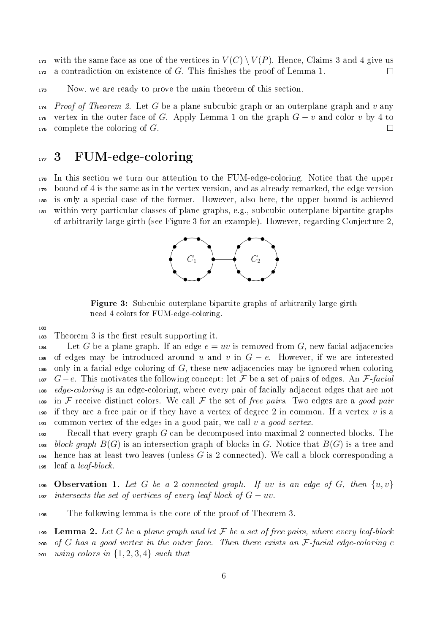$171$  with the same face as one of the vertices in  $V(C) \setminus V(P)$ . Hence, Claims 3 and 4 give us  $172$  a contradiction on existence of G. This finishes the proof of Lemma 1.  $\Box$ 

<sup>173</sup> Now, we are ready to prove the main theorem of this section.

 $174$  *Proof of Theorem 2.* Let G be a plane subcubic graph or an outerplane graph and v any 175 vertex in the outer face of G. Apply Lemma 1 on the graph  $G - v$  and color v by 4 to  $176$  complete the coloring of G.  $\Box$ 

### $_{177}$  3 FUM-edge-coloring

 In this section we turn our attention to the FUM-edge-coloring. Notice that the upper bound of 4 is the same as in the vertex version, and as already remarked, the edge version is only a special case of the former. However, also here, the upper bound is achieved within very particular classes of plane graphs, e.g., subcubic outerplane bipartite graphs of arbitrarily large girth (see Figure 3 for an example). However, regarding Conjecture 2,



Figure 3: Subcubic outerplane bipartite graphs of arbitrarily large girth need 4 colors for FUM-edge-coloring.

 $\frac{183}{183}$  Theorem 3 is the first result supporting it.

182

184 Let G be a plane graph. If an edge  $e = uv$  is removed from G, new facial adjacencies 185 of edges may be introduced around u and v in  $G - e$ . However, if we are interested  $_{186}$  only in a facial edge-coloring of G, these new adjacencies may be ignored when coloring 187  $G-e$ . This motivates the following concept: let F be a set of pairs of edges. An F-facial 188 edge-coloring is an edge-coloring, where every pair of facially adjacent edges that are not 189 in F receive distinct colors. We call F the set of free pairs. Two edges are a good pair 190 if they are a free pair or if they have a vertex of degree 2 in common. If a vertex  $v$  is a 191 common vertex of the edges in a good pair, we call v a good vertex.

 $192$  Recall that every graph G can be decomposed into maximal 2-connected blocks. The 193 block graph  $B(G)$  is an intersection graph of blocks in G. Notice that  $B(G)$  is a tree and  $_{194}$  hence has at least two leaves (unless G is 2-connected). We call a block corresponding a  $195$  leaf a *leaf-block*.

196 Observation 1. Let G be a 2-connected graph. If uv is an edge of G, then  $\{u, v\}$ 197 intersects the set of vertices of every leaf-block of  $G - uv$ .

<sup>198</sup> The following lemma is the core of the proof of Theorem 3.

199 Lemma 2. Let G be a plane graph and let  $\mathcal F$  be a set of free pairs, where every leaf-block 200 of G has a good vertex in the outer face. Then there exists an  $\mathcal F$ -facial edge-coloring c 201 using colors in  $\{1, 2, 3, 4\}$  such that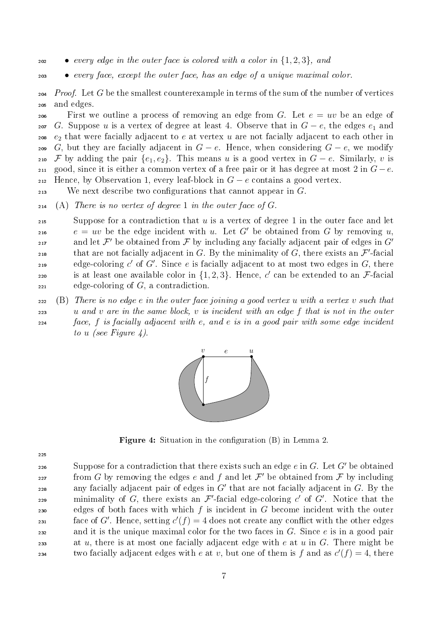202 • every edge in the outer face is colored with a color in  $\{1, 2, 3\}$ , and

<sup>203</sup> • every face, except the outer face, has an edge of a unique maximal color.

204 Proof. Let G be the smallest counterexample in terms of the sum of the number of vertices <sup>205</sup> and edges.

206 First we outline a process of removing an edge from G. Let  $e = uv$  be an edge of 207 G. Suppose u is a vertex of degree at least 4. Observe that in  $G - e$ , the edges  $e_1$  and 208  $e_2$  that were facially adjacent to e at vertex u are not facially adjacent to each other in 209 G, but they are facially adjacent in  $G - e$ . Hence, when considering  $G - e$ , we modify 210 F by adding the pair  $\{e_1, e_2\}$ . This means u is a good vertex in  $G - e$ . Similarly, v is 211 good, since it is either a common vertex of a free pair or it has degree at most 2 in  $G-e$ . 212 Hence, by Observation 1, every leaf-block in  $G - e$  contains a good vertex.

 $213$  We next describe two configurations that cannot appear in  $G$ .

 $_{214}$  (A) There is no vertex of degree 1 in the outer face of G.

 $215$  Suppose for a contradiction that u is a vertex of degree 1 in the outer face and let 216  $e = uv$  be the edge incident with u. Let G' be obtained from G by removing u, and let  $\mathcal{F}'$  be obtained from  $\mathcal F$  by including any facially adjacent pair of edges in  $G'$ 217 <sup>218</sup> that are not facially adjacent in G. By the minimality of G, there exists an  $\mathcal{F}'$ -facial edge-coloring  $c'$  of  $G'$ . Since e is facially adjacent to at most two edges in  $G$ , there <sup>220</sup> is at least one available color in  $\{1,2,3\}$ . Hence, c' can be extended to an F-facial  $_{221}$  edge-coloring of  $G$ , a contradiction.

 (B) There is no edge e in the outer face joining a good vertex u with a vertex v such that u and v are in the same block, v is incident with an edge f that is not in the outer face, f is facially adjacent with e, and e is in a good pair with some edge incident to u (see Figure 4).



**Figure 4:** Situation in the configuration  $(B)$  in Lemma 2.

225

so suppose for a contradiction that there exists such an edge  $e$  in  $G$ . Let  $G'$  be obtained  $\mathcal{F}$  from G by removing the edges e and f and let  $\mathcal{F}'$  be obtained from F by including any facially adjacent pair of edges in  $G'$  that are not facially adjacent in  $G$ . By the 229 minimality of G, there exists an  $\mathcal{F}'$ -facial edge-coloring c' of G'. Notice that the 230 edges of both faces with which f is incident in G become incident with the outer face of G'. Hence, setting  $c'(f) = 4$  does not create any conflict with the other edges 232 and it is the unique maximal color for the two faces in G. Since  $e$  is in a good pair 233 at u, there is at most one facially adjacent edge with e at u in G. There might be two facially adjacent edges with e at v, but one of them is f and as  $c'(f) = 4$ , there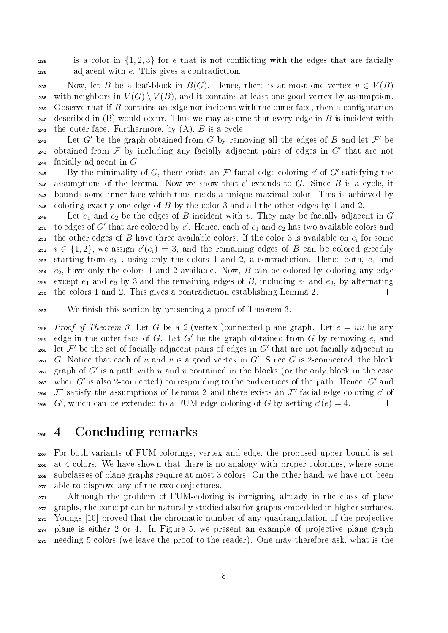<sup>235</sup> is a color in  $\{1, 2, 3\}$  for e that is not conflicting with the edges that are facially <sup>236</sup> adjacent with e. This gives a contradiction.

237 Now, let B be a leaf-block in  $B(G)$ . Hence, there is at most one vertex  $v \in V(B)$ 238 with neighbors in  $V(G) \setminus V(B)$ , and it contains at least one good vertex by assumption. 239 Observe that if B contains an edge not incident with the outer face, then a configuration 240 described in  $(B)$  would occur. Thus we may assume that every edge in B is incident with 241 the outer face. Furthermore, by  $(A)$ ,  $B$  is a cycle.

242 Let G' be the graph obtained from G by removing all the edges of B and let  $\mathcal{F}'$  be 243 obtained from  $\mathcal F$  by including any facially adjacent pairs of edges in  $G'$  that are not  $_{244}$  facially adjacent in G.

<sup>245</sup> By the minimality of G, there exists an  $\mathcal{F}'$ -facial edge-coloring c' of G' satisfying the 246 assumptions of the lemma. Now we show that  $c'$  extends to  $G$ . Since  $B$  is a cycle, it <sup>247</sup> bounds some inner face which thus needs a unique maximal color. This is achieved by  $_{248}$  coloring exactly one edge of B by the color 3 and all the other edges by 1 and 2.

249 Let  $e_1$  and  $e_2$  be the edges of B incident with v. They may be facially adjacent in G  $_2$ so  $\,$  to edges of  $G'$  that are colored by  $c'.$  Hence, each of  $e_1$  and  $e_2$  has two available colors and  $_{\text{251}}\;$  the other edges of  $B$  have three available colors. If the color 3 is available on  $e_i$  for some 252  $i \in \{1,2\}$ , we assign  $c'(e_i) = 3$ , and the remaining edges of B can be colored greedily 253 starting from  $e_{3-i}$  using only the colors 1 and 2, a contradiction. Hence both,  $e_1$  and  $254$  e<sub>2</sub>, have only the colors 1 and 2 available. Now, B can be colored by coloring any edge 255 except  $e_1$  and  $e_2$  by 3 and the remaining edges of B, including  $e_1$  and  $e_2$ , by alternating <sup>256</sup> the colors 1 and 2. This gives a contradiction establishing Lemma 2.  $\Box$ 

<sup>257</sup> We finish this section by presenting a proof of Theorem 3.

258 Proof of Theorem 3. Let G be a 2-(vertex-)connected plane graph. Let  $e = uv$  be any <sup>259</sup> edge in the outer face of G. Let G' be the graph obtained from G by removing  $e$ , and  $_{260}$  let  $\mathcal{F}'$  be the set of facially adjacent pairs of edges in  $G'$  that are not facially adjacent in 261 G. Notice that each of u and v is a good vertex in  $G'$ . Since G is 2-connected, the block 262 graph of  $G'$  is a path with u and v contained in the blocks (or the only block in the case  $_{263}$  when  $G'$  is also 2-connected) corresponding to the endvertices of the path. Hence,  $G'$  and 264  $\mathcal{F}'$  satisfy the assumptions of Lemma 2 and there exists an  $\mathcal{F}'$ -facial edge-coloring  $c'$  of 265 G', which can be extended to a FUM-edge-coloring of G by setting  $c'(e) = 4$ .  $\Box$ 

#### <sup>266</sup> 4 Concluding remarks

 For both variants of FUM-colorings, vertex and edge, the proposed upper bound is set at 4 colors. We have shown that there is no analogy with proper colorings, where some subclasses of plane graphs require at most 3 colors. On the other hand, we have not been able to disprove any of the two conjectures.

 Although the problem of FUM-coloring is intriguing already in the class of plane graphs, the concept can be naturally studied also for graphs embedded in higher surfaces. Youngs [10] proved that the chromatic number of any quadrangulation of the projective plane is either 2 or 4. In Figure 5, we present an example of projective plane graph needing 5 colors (we leave the proof to the reader). One may therefore ask, what is the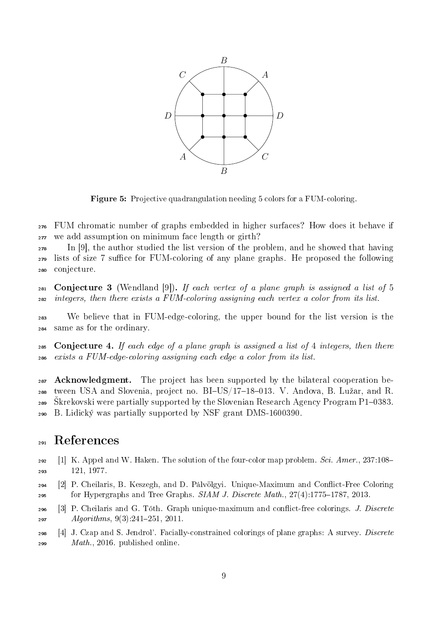

Figure 5: Projective quadrangulation needing 5 colors for a FUM-coloring.

<sup>276</sup> FUM chromatic number of graphs embedded in higher surfaces? How does it behave if <sup>277</sup> we add assumption on minimum face length or girth?

<sup>278</sup> In [9], the author studied the list version of the problem, and he showed that having  $279$  lists of size 7 suffice for FUM-coloring of any plane graphs. He proposed the following <sup>280</sup> conjecture.

281 Conjecture 3 (Wendland [9]). If each vertex of a plane graph is assigned a list of 5 <sup>282</sup> integers, then there exists a FUM-coloring assigning each vertex a color from its list.

<sup>283</sup> We believe that in FUM-edge-coloring, the upper bound for the list version is the <sup>284</sup> same as for the ordinary.

285 Conjecture 4. If each edge of a plane graph is assigned a list of 4 integers, then there <sup>286</sup> exists a FUM-edge-coloring assigning each edge a color from its list.

 $287$  Acknowledgment. The project has been supported by the bilateral cooperation be- $_{288}$  tween USA and Slovenia, project no. BI-US/17-18-013. V. Andova, B. Lužar, and R. 289 Skrekovski were partially supported by the Slovenian Research Agency Program P1–0383. <sup>290</sup> B. Lidický was partially supported by NSF grant DMS-1600390.

# <sup>291</sup> References

- 292 [1] K. Appel and W. Haken. The solution of the four-color map problem. Sci. Amer.,  $237:108-$ <sup>293</sup> 121, 1977.
- <sup>294</sup> [2] P. Cheilaris, B. Keszegh, and D. Pálvölgyi. Unique-Maximum and Conict-Free Coloring 295 for Hypergraphs and Tree Graphs.  $SIAM J. Discrete Math., 27(4):1775-1787, 2013.$
- $296$  [3] P. Cheilaris and G. Tóth. Graph unique-maximum and conflict-free colorings. *J. Discrete*  $297$  Algorithms,  $9(3)$ :241-251, 2011.
- <sup>298</sup> [4] J. Czap and S. Jendrol'. Facially-constrained colorings of plane graphs: A survey. Discrete  $299$  Math., 2016. published online.